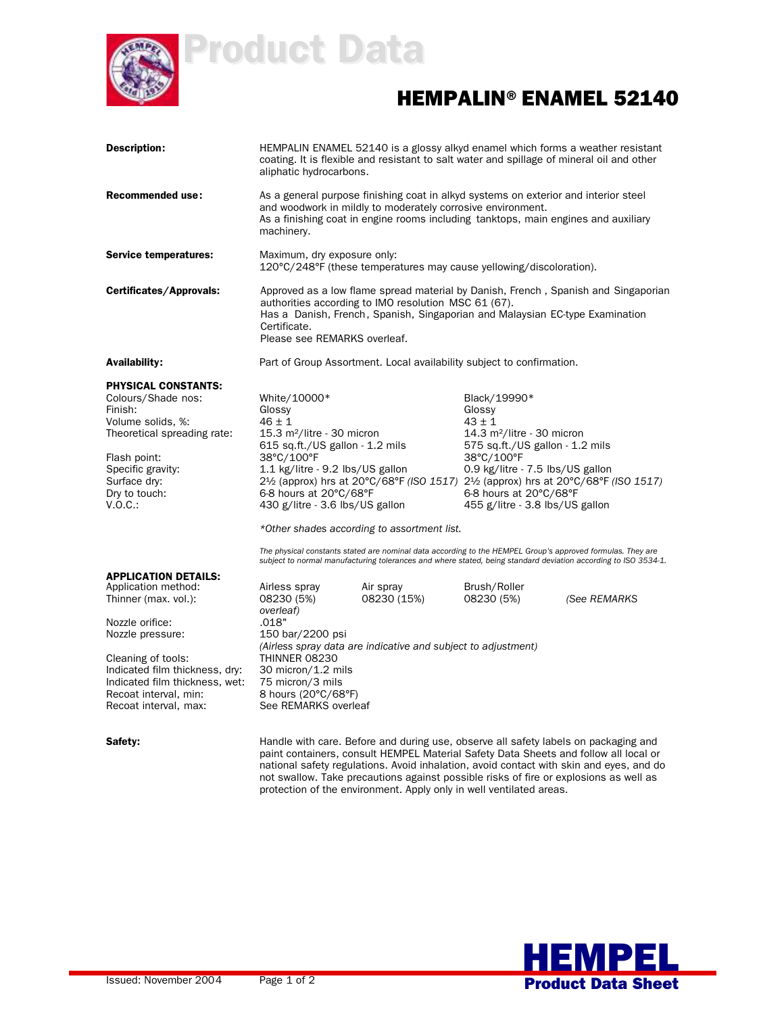

Product Data

## HEMPALIN®ENAMEL 52140

| <b>Description:</b>                                                                                                                                                                                                                                           | aliphatic hydrocarbons.                                                                                                                                                                                                                                                                                                                                                                                                                                                          |                                                                                                                                                                                                                                          |                                                                                                                                                                                                                                                                                                                                           | HEMPALIN ENAMEL 52140 is a glossy alkyd enamel which forms a weather resistant<br>coating. It is flexible and resistant to salt water and spillage of mineral oil and other |  |
|---------------------------------------------------------------------------------------------------------------------------------------------------------------------------------------------------------------------------------------------------------------|----------------------------------------------------------------------------------------------------------------------------------------------------------------------------------------------------------------------------------------------------------------------------------------------------------------------------------------------------------------------------------------------------------------------------------------------------------------------------------|------------------------------------------------------------------------------------------------------------------------------------------------------------------------------------------------------------------------------------------|-------------------------------------------------------------------------------------------------------------------------------------------------------------------------------------------------------------------------------------------------------------------------------------------------------------------------------------------|-----------------------------------------------------------------------------------------------------------------------------------------------------------------------------|--|
| <b>Recommended use:</b>                                                                                                                                                                                                                                       | machinery.                                                                                                                                                                                                                                                                                                                                                                                                                                                                       | As a general purpose finishing coat in alkyd systems on exterior and interior steel<br>and woodwork in mildly to moderately corrosive environment.<br>As a finishing coat in engine rooms including tanktops, main engines and auxiliary |                                                                                                                                                                                                                                                                                                                                           |                                                                                                                                                                             |  |
| <b>Service temperatures:</b>                                                                                                                                                                                                                                  | Maximum, dry exposure only:                                                                                                                                                                                                                                                                                                                                                                                                                                                      | 120°C/248°F (these temperatures may cause yellowing/discoloration).                                                                                                                                                                      |                                                                                                                                                                                                                                                                                                                                           |                                                                                                                                                                             |  |
| Certificates/Approvals:                                                                                                                                                                                                                                       | Certificate.<br>Please see REMARKS overleaf.                                                                                                                                                                                                                                                                                                                                                                                                                                     | authorities according to IMO resolution MSC 61 (67).<br>Has a Danish, French, Spanish, Singaporian and Malaysian EC-type Examination                                                                                                     |                                                                                                                                                                                                                                                                                                                                           | Approved as a low flame spread material by Danish, French, Spanish and Singaporian                                                                                          |  |
| <b>Availability:</b>                                                                                                                                                                                                                                          |                                                                                                                                                                                                                                                                                                                                                                                                                                                                                  | Part of Group Assortment. Local availability subject to confirmation.                                                                                                                                                                    |                                                                                                                                                                                                                                                                                                                                           |                                                                                                                                                                             |  |
| <b>PHYSICAL CONSTANTS:</b><br>Colours/Shade nos:<br>Finish:<br>Volume solids, %:<br>Theoretical spreading rate:<br>Flash point:<br>Specific gravity:<br>Surface dry:<br>Dry to touch:<br>V.O.C.                                                               | White/10000*<br>Glossy<br>$46 \pm 1$<br>15.3 m <sup>2</sup> /litre - 30 micron<br>615 sq.ft./US gallon - 1.2 mils<br>38°C/100°F<br>1.1 kg/litre - 9.2 lbs/US gallon<br>2½ (approx) hrs at 20°C/68°F (ISO 1517) 2½ (approx) hrs at 20°C/68°F (ISO 1517)<br>6-8 hours at 20°C/68°F<br>430 g/litre - 3.6 lbs/US gallon<br>*Other shades according to assortment list.<br>The physical constants stated are nominal data according to the HEMPEL Group's approved formulas. They are |                                                                                                                                                                                                                                          | Black/19990*<br>Glossy<br>$43 \pm 1$<br>14.3 $m^2$ /litre - 30 micron<br>575 sq.ft./US gallon - 1.2 mils<br>38°C/100°F<br>0.9 kg/litre - 7.5 lbs/US gallon<br>6-8 hours at 20°C/68°F<br>455 g/litre - 3.8 lbs/US gallon<br>subject to normal manufacturing tolerances and where stated, being standard deviation according to ISO 3534-1. |                                                                                                                                                                             |  |
| <b>APPLICATION DETAILS:</b><br>Application method:<br>Thinner (max. vol.):<br>Nozzle orifice:<br>Nozzle pressure:<br>Cleaning of tools:<br>Indicated film thickness, dry:<br>Indicated film thickness, wet:<br>Recoat interval, min:<br>Recoat interval, max: | Airless spray<br>08230 (5%)<br>overleaf)<br>.018"<br>150 bar/2200 psi<br>THINNER 08230<br>30 micron/1.2 mils<br>75 micron/3 mils<br>8 hours (20°C/68°F)<br>See REMARKS overleaf                                                                                                                                                                                                                                                                                                  | Air spray<br>08230 (15%)<br>(Airless spray data are indicative and subject to adjustment)                                                                                                                                                | Brush/Roller<br>08230 (5%)                                                                                                                                                                                                                                                                                                                | (See REMARKS                                                                                                                                                                |  |
| Safety:                                                                                                                                                                                                                                                       |                                                                                                                                                                                                                                                                                                                                                                                                                                                                                  |                                                                                                                                                                                                                                          |                                                                                                                                                                                                                                                                                                                                           | Handle with care. Before and during use, observe all safety labels on packaging and                                                                                         |  |

paint containers, consult HEMPEL Material Safety Data Sheets and follow all local or national safety regulations. Avoid inhalation, avoid contact with skin and eyes, and do not swallow. Take precautions against possible risks of fire or explosions as well as protection of the environment. Apply only in well ventilated areas.